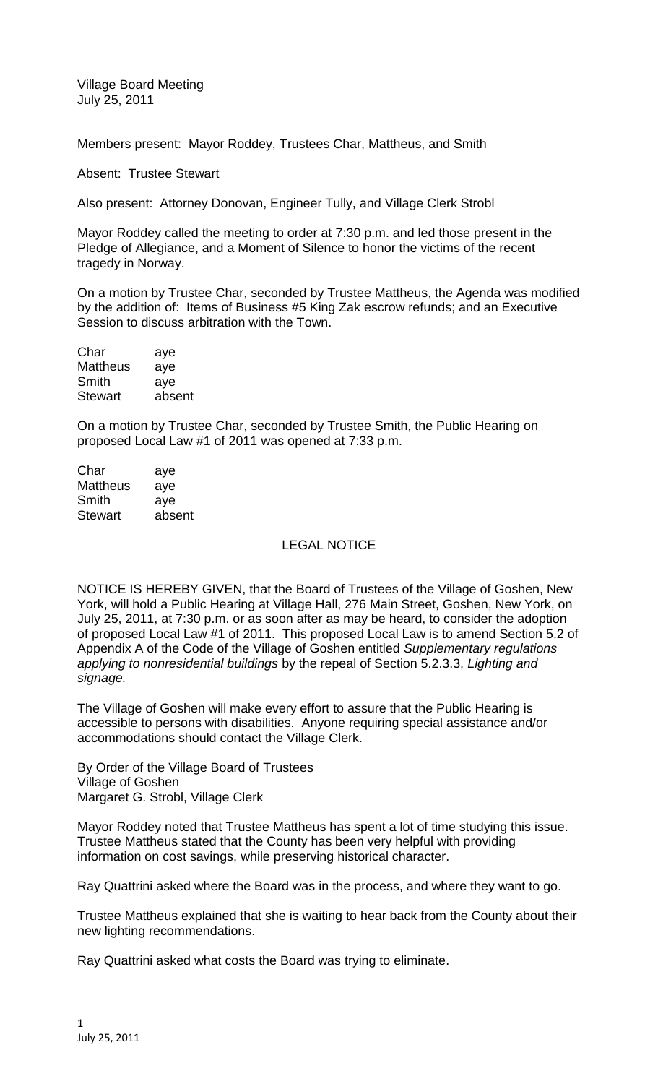Village Board Meeting July 25, 2011

Members present: Mayor Roddey, Trustees Char, Mattheus, and Smith

Absent: Trustee Stewart

Also present: Attorney Donovan, Engineer Tully, and Village Clerk Strobl

Mayor Roddey called the meeting to order at 7:30 p.m. and led those present in the Pledge of Allegiance, and a Moment of Silence to honor the victims of the recent tragedy in Norway.

On a motion by Trustee Char, seconded by Trustee Mattheus, the Agenda was modified by the addition of: Items of Business #5 King Zak escrow refunds; and an Executive Session to discuss arbitration with the Town.

| aye    |
|--------|
| aye    |
| aye    |
| absent |
|        |

On a motion by Trustee Char, seconded by Trustee Smith, the Public Hearing on proposed Local Law #1 of 2011 was opened at 7:33 p.m.

| aye    |
|--------|
| aye    |
| ave    |
| absent |
|        |

## LEGAL NOTICE

NOTICE IS HEREBY GIVEN, that the Board of Trustees of the Village of Goshen, New York, will hold a Public Hearing at Village Hall, 276 Main Street, Goshen, New York, on July 25, 2011, at 7:30 p.m. or as soon after as may be heard, to consider the adoption of proposed Local Law #1 of 2011. This proposed Local Law is to amend Section 5.2 of Appendix A of the Code of the Village of Goshen entitled *Supplementary regulations applying to nonresidential buildings* by the repeal of Section 5.2.3.3, *Lighting and signage.*

The Village of Goshen will make every effort to assure that the Public Hearing is accessible to persons with disabilities. Anyone requiring special assistance and/or accommodations should contact the Village Clerk.

By Order of the Village Board of Trustees Village of Goshen Margaret G. Strobl, Village Clerk

Mayor Roddey noted that Trustee Mattheus has spent a lot of time studying this issue. Trustee Mattheus stated that the County has been very helpful with providing information on cost savings, while preserving historical character.

Ray Quattrini asked where the Board was in the process, and where they want to go.

Trustee Mattheus explained that she is waiting to hear back from the County about their new lighting recommendations.

Ray Quattrini asked what costs the Board was trying to eliminate.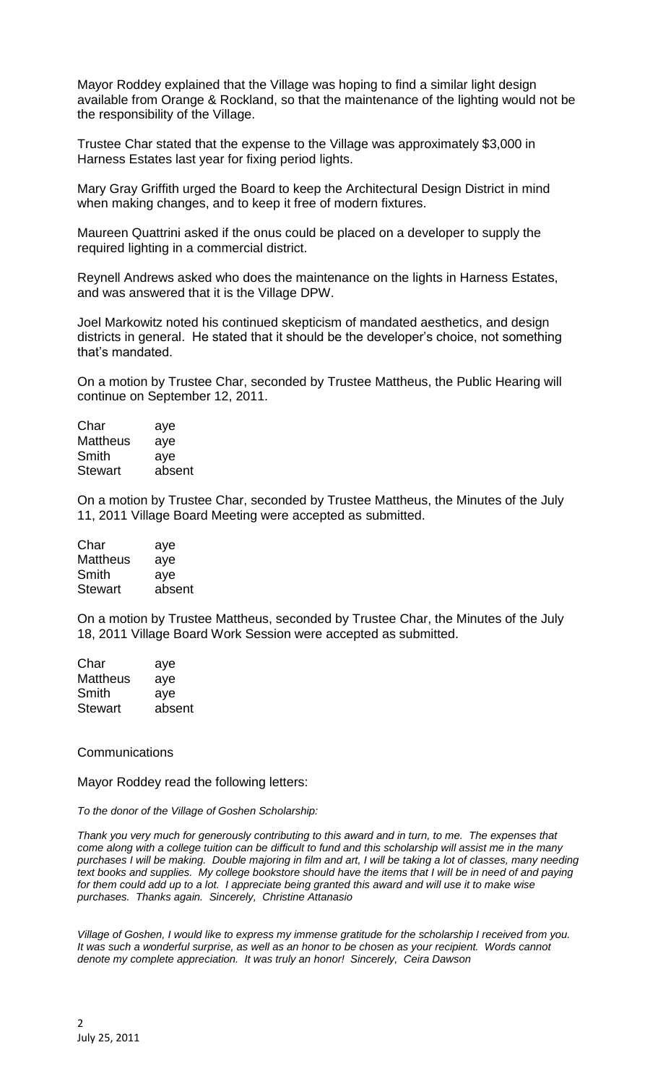Mayor Roddey explained that the Village was hoping to find a similar light design available from Orange & Rockland, so that the maintenance of the lighting would not be the responsibility of the Village.

Trustee Char stated that the expense to the Village was approximately \$3,000 in Harness Estates last year for fixing period lights.

Mary Gray Griffith urged the Board to keep the Architectural Design District in mind when making changes, and to keep it free of modern fixtures.

Maureen Quattrini asked if the onus could be placed on a developer to supply the required lighting in a commercial district.

Reynell Andrews asked who does the maintenance on the lights in Harness Estates, and was answered that it is the Village DPW.

Joel Markowitz noted his continued skepticism of mandated aesthetics, and design districts in general. He stated that it should be the developer's choice, not something that's mandated.

On a motion by Trustee Char, seconded by Trustee Mattheus, the Public Hearing will continue on September 12, 2011.

| Char            | aye    |
|-----------------|--------|
| <b>Mattheus</b> | aye    |
| Smith           | aye    |
| <b>Stewart</b>  | absent |
|                 |        |

On a motion by Trustee Char, seconded by Trustee Mattheus, the Minutes of the July 11, 2011 Village Board Meeting were accepted as submitted.

| aye    |
|--------|
| aye    |
| aye    |
| absent |
|        |

On a motion by Trustee Mattheus, seconded by Trustee Char, the Minutes of the July 18, 2011 Village Board Work Session were accepted as submitted.

| aye    |
|--------|
| aye    |
| aye    |
| absent |
|        |

## Communications

Mayor Roddey read the following letters:

*To the donor of the Village of Goshen Scholarship:*

*Thank you very much for generously contributing to this award and in turn, to me. The expenses that come along with a college tuition can be difficult to fund and this scholarship will assist me in the many purchases I will be making. Double majoring in film and art, I will be taking a lot of classes, many needing text books and supplies. My college bookstore should have the items that I will be in need of and paying*  for them could add up to a lot. I appreciate being granted this award and will use it to make wise *purchases. Thanks again. Sincerely, Christine Attanasio*

*Village of Goshen, I would like to express my immense gratitude for the scholarship I received from you.*  It was such a wonderful surprise, as well as an honor to be chosen as your recipient. Words cannot *denote my complete appreciation. It was truly an honor! Sincerely, Ceira Dawson*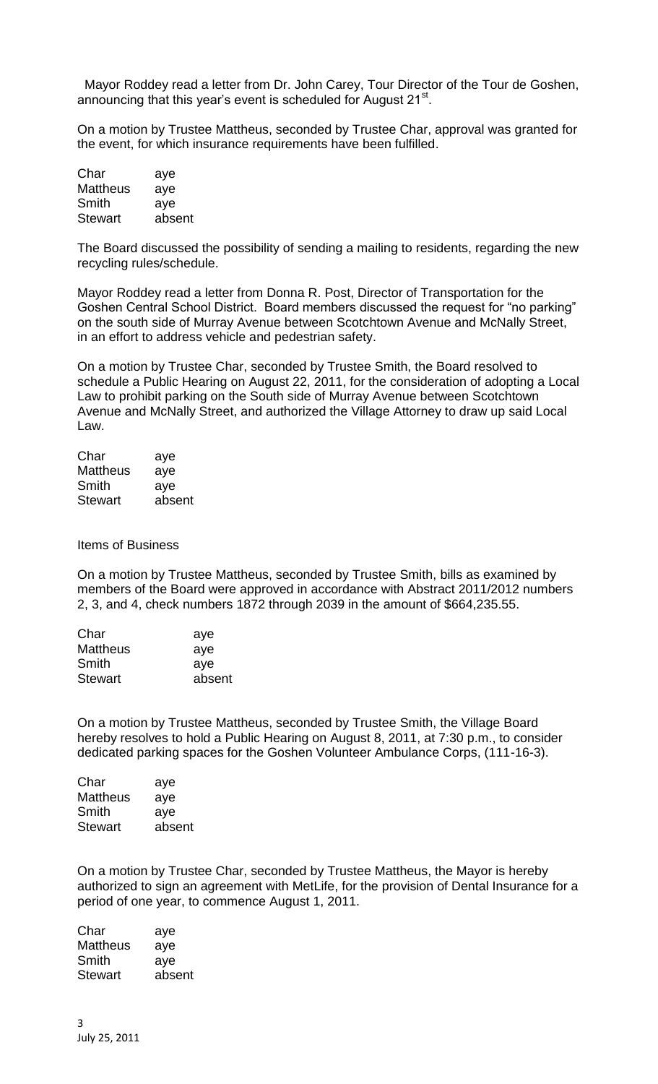Mayor Roddey read a letter from Dr. John Carey, Tour Director of the Tour de Goshen, announcing that this year's event is scheduled for August 21<sup>st</sup>.

On a motion by Trustee Mattheus, seconded by Trustee Char, approval was granted for the event, for which insurance requirements have been fulfilled.

| Char            | aye    |
|-----------------|--------|
| <b>Mattheus</b> | aye    |
| Smith           | aye    |
| Stewart         | absent |

The Board discussed the possibility of sending a mailing to residents, regarding the new recycling rules/schedule.

Mayor Roddey read a letter from Donna R. Post, Director of Transportation for the Goshen Central School District. Board members discussed the request for "no parking" on the south side of Murray Avenue between Scotchtown Avenue and McNally Street, in an effort to address vehicle and pedestrian safety.

On a motion by Trustee Char, seconded by Trustee Smith, the Board resolved to schedule a Public Hearing on August 22, 2011, for the consideration of adopting a Local Law to prohibit parking on the South side of Murray Avenue between Scotchtown Avenue and McNally Street, and authorized the Village Attorney to draw up said Local Law.

| aye    |
|--------|
| aye    |
| aye    |
| absent |
|        |

Items of Business

On a motion by Trustee Mattheus, seconded by Trustee Smith, bills as examined by members of the Board were approved in accordance with Abstract 2011/2012 numbers 2, 3, and 4, check numbers 1872 through 2039 in the amount of \$664,235.55.

| aye    |
|--------|
| aye    |
| aye    |
| absent |
|        |

On a motion by Trustee Mattheus, seconded by Trustee Smith, the Village Board hereby resolves to hold a Public Hearing on August 8, 2011, at 7:30 p.m., to consider dedicated parking spaces for the Goshen Volunteer Ambulance Corps, (111-16-3).

| Char            | aye    |
|-----------------|--------|
| <b>Mattheus</b> | aye    |
| Smith           | aye    |
| <b>Stewart</b>  | absent |
|                 |        |

On a motion by Trustee Char, seconded by Trustee Mattheus, the Mayor is hereby authorized to sign an agreement with MetLife, for the provision of Dental Insurance for a period of one year, to commence August 1, 2011.

Char aye Mattheus aye Smith aye Stewart absent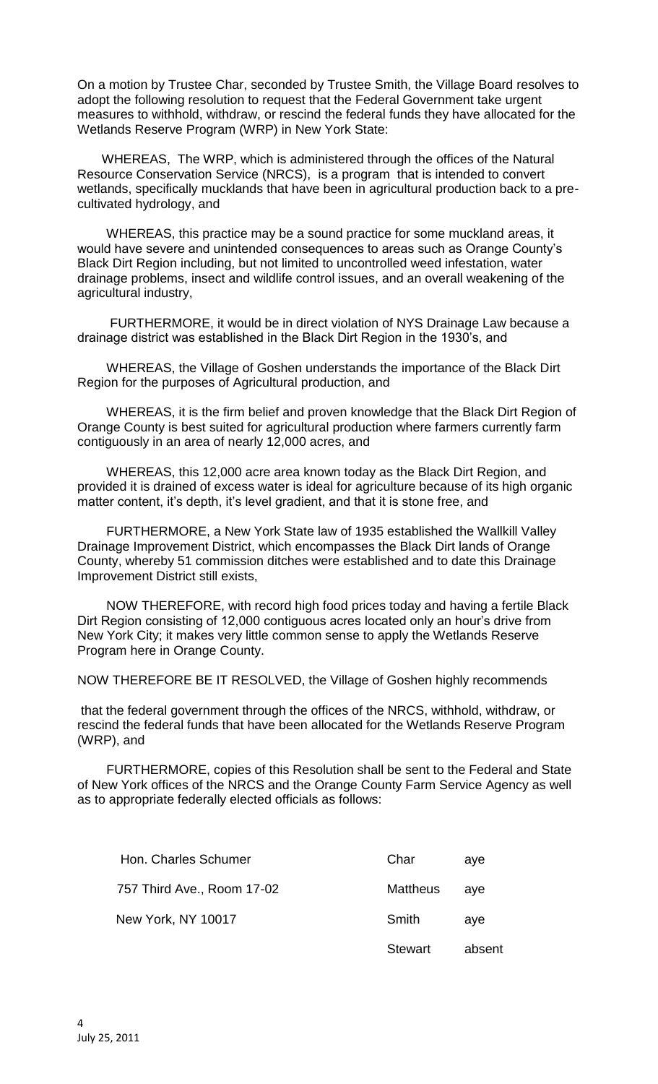On a motion by Trustee Char, seconded by Trustee Smith, the Village Board resolves to adopt the following resolution to request that the Federal Government take urgent measures to withhold, withdraw, or rescind the federal funds they have allocated for the Wetlands Reserve Program (WRP) in New York State:

WHEREAS, The WRP, which is administered through the offices of the Natural Resource Conservation Service (NRCS), is a program that is intended to convert wetlands, specifically mucklands that have been in agricultural production back to a precultivated hydrology, and

WHEREAS, this practice may be a sound practice for some muckland areas, it would have severe and unintended consequences to areas such as Orange County's Black Dirt Region including, but not limited to uncontrolled weed infestation, water drainage problems, insect and wildlife control issues, and an overall weakening of the agricultural industry,

FURTHERMORE, it would be in direct violation of NYS Drainage Law because a drainage district was established in the Black Dirt Region in the 1930's, and

WHEREAS, the Village of Goshen understands the importance of the Black Dirt Region for the purposes of Agricultural production, and

WHEREAS, it is the firm belief and proven knowledge that the Black Dirt Region of Orange County is best suited for agricultural production where farmers currently farm contiguously in an area of nearly 12,000 acres, and

WHEREAS, this 12,000 acre area known today as the Black Dirt Region, and provided it is drained of excess water is ideal for agriculture because of its high organic matter content, it's depth, it's level gradient, and that it is stone free, and

FURTHERMORE, a New York State law of 1935 established the Wallkill Valley Drainage Improvement District, which encompasses the Black Dirt lands of Orange County, whereby 51 commission ditches were established and to date this Drainage Improvement District still exists,

NOW THEREFORE, with record high food prices today and having a fertile Black Dirt Region consisting of 12,000 contiguous acres located only an hour's drive from New York City; it makes very little common sense to apply the Wetlands Reserve Program here in Orange County.

NOW THEREFORE BE IT RESOLVED, the Village of Goshen highly recommends

that the federal government through the offices of the NRCS, withhold, withdraw, or rescind the federal funds that have been allocated for the Wetlands Reserve Program (WRP), and

FURTHERMORE, copies of this Resolution shall be sent to the Federal and State of New York offices of the NRCS and the Orange County Farm Service Agency as well as to appropriate federally elected officials as follows:

| Hon. Charles Schumer       | Char            | ave    |
|----------------------------|-----------------|--------|
| 757 Third Ave., Room 17-02 | <b>Mattheus</b> | ave    |
| New York, NY 10017         | Smith           | ave    |
|                            | Stewart         | absent |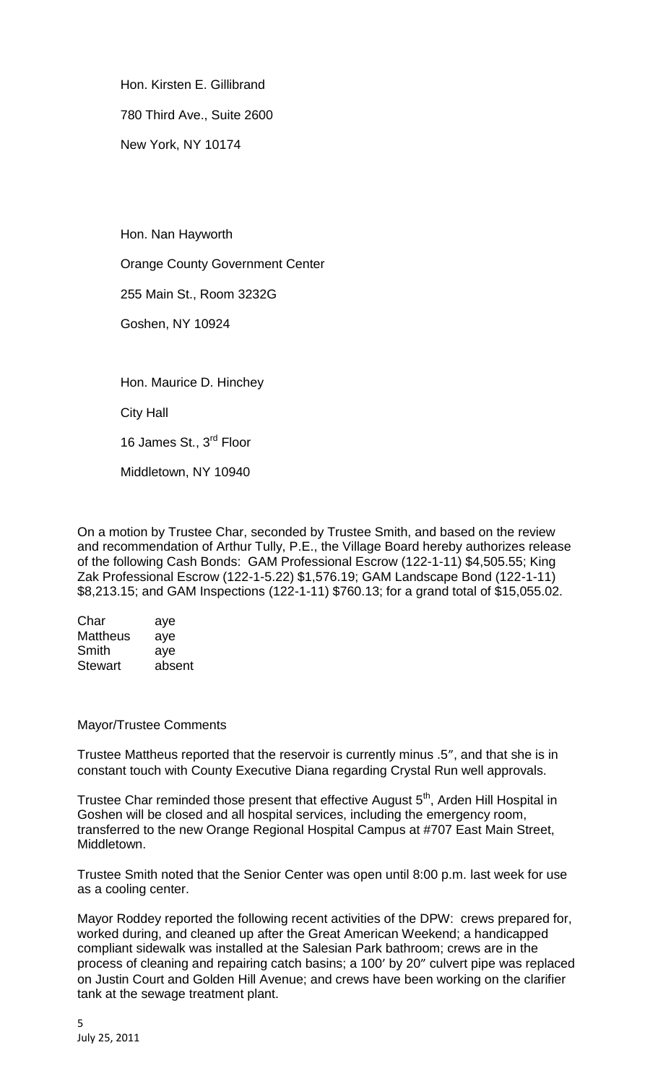Hon. Kirsten E. Gillibrand 780 Third Ave., Suite 2600 New York, NY 10174

 Hon. Nan Hayworth Orange County Government Center 255 Main St., Room 3232G Goshen, NY 10924 Hon. Maurice D. Hinchey City Hall

16 James St., 3<sup>rd</sup> Floor

Middletown, NY 10940

On a motion by Trustee Char, seconded by Trustee Smith, and based on the review and recommendation of Arthur Tully, P.E., the Village Board hereby authorizes release of the following Cash Bonds: GAM Professional Escrow (122-1-11) \$4,505.55; King Zak Professional Escrow (122-1-5.22) \$1,576.19; GAM Landscape Bond (122-1-11) \$8,213.15; and GAM Inspections (122-1-11) \$760.13; for a grand total of \$15,055.02.

| aye    |
|--------|
| aye    |
| aye    |
| absent |
|        |

Mayor/Trustee Comments

Trustee Mattheus reported that the reservoir is currently minus .5", and that she is in constant touch with County Executive Diana regarding Crystal Run well approvals.

Trustee Char reminded those present that effective August 5<sup>th</sup>, Arden Hill Hospital in Goshen will be closed and all hospital services, including the emergency room, transferred to the new Orange Regional Hospital Campus at #707 East Main Street, Middletown.

Trustee Smith noted that the Senior Center was open until 8:00 p.m. last week for use as a cooling center.

Mayor Roddey reported the following recent activities of the DPW: crews prepared for, worked during, and cleaned up after the Great American Weekend; a handicapped compliant sidewalk was installed at the Salesian Park bathroom; crews are in the process of cleaning and repairing catch basins; a 100' by 20" culvert pipe was replaced on Justin Court and Golden Hill Avenue; and crews have been working on the clarifier tank at the sewage treatment plant.